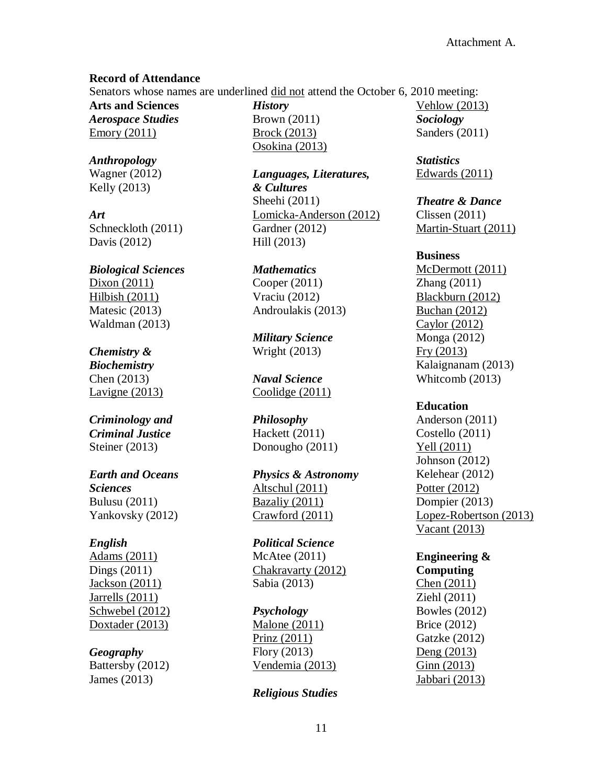#### **Record of Attendance**

Senators whose names are underlined did not attend the October 6, 2010 meeting:

**Arts and Sciences** *Aerospace Studies* Emory (2011)

*Anthropology* Wagner (2012) Kelly (2013)

*Art* Schneckloth (2011) Davis (2012)

# *Biological Sciences* Dixon (2011) Hilbish (2011) Matesic (2013) Waldman (2013)

# *Chemistry &*

*Biochemistry* Chen (2013) Lavigne (2013)

# *Criminology and Criminal Justice* Steiner (2013)

# *Earth and Oceans Sciences*

Bulusu (2011) Yankovsky (2012)

### *English*

Adams (2011) Dings (2011) Jackson (2011) Jarrells (2011) Schwebel (2012) Doxtader (2013)

# *Geography*

Battersby (2012) James (2013)

*History* Brown (2011) Brock (2013) Osokina (2013)

*Languages, Literatures, & Cultures* Sheehi (2011) Lomicka-Anderson (2012) Gardner (2012) Hill (2013)

*Mathematics* Cooper (2011) Vraciu (2012) Androulakis (2013)

*Military Science* Wright (2013)

*Naval Science* Coolidge (2011)

*Philosophy* Hackett (2011) Donougho (2011)

*Physics & Astronomy* Altschul (2011) Bazaliy (2011) Crawford (2011)

*Political Science* McAtee (2011) Chakravarty (2012) Sabia (2013)

# *Psychology*

Malone (2011) Prinz (2011) Flory (2013) Vendemia (2013)

### *Religious Studies*

Vehlow (2013) *Sociology* Sanders (2011)

*Statistics* Edwards (2011)

# *Theatre & Dance*

Clissen (2011) Martin-Stuart (2011)

## **Business**

McDermott (2011) Zhang (2011) Blackburn (2012) Buchan (2012) Caylor (2012) Monga (2012) Fry (2013) Kalaignanam (2013) Whitcomb (2013)

# **Education**

Anderson (2011) Costello (2011) Yell (2011) Johnson (2012) Kelehear (2012) Potter (2012) Dompier (2013) Lopez-Robertson (2013) Vacant (2013)

#### **Engineering & Computing**

Chen (2011) Ziehl (2011) Bowles (2012) Brice (2012) Gatzke (2012) Deng (2013) Ginn (2013) Jabbari (2013)